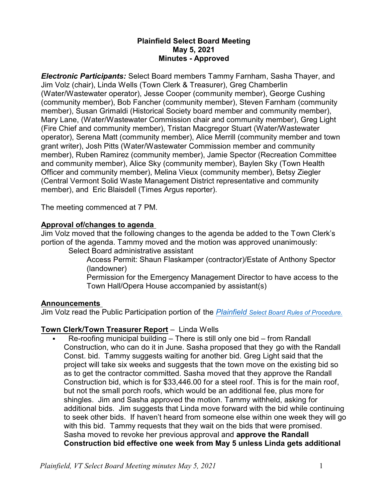### **Plainfield Select Board Meeting May 5, 2021 Minutes - Approved**

*Electronic Participants:* Select Board members Tammy Farnham, Sasha Thayer, and Jim Volz (chair), Linda Wells (Town Clerk & Treasurer), Greg Chamberlin (Water/Wastewater operator), Jesse Cooper (community member), George Cushing (community member), Bob Fancher (community member), Steven Farnham (community member), Susan Grimaldi (Historical Society board member and community member), Mary Lane, (Water/Wastewater Commission chair and community member), Greg Light (Fire Chief and community member), Tristan Macgregor Stuart (Water/Wastewater operator), Serena Matt (community member), Alice Merrill (community member and town grant writer), Josh Pitts (Water/Wastewater Commission member and community member), Ruben Ramirez (community member), Jamie Spector (Recreation Committee and community member), Alice Sky (community member), Baylen Sky (Town Health Officer and community member), Melina Vieux (community member), Betsy Ziegler (Central Vermont Solid Waste Management District representative and community member), and Eric Blaisdell (Times Argus reporter).

The meeting commenced at 7 PM.

### **Approval of/changes to agenda**

Jim Volz moved that the following changes to the agenda be added to the Town Clerk's portion of the agenda. Tammy moved and the motion was approved unanimously:

Select Board administrative assistant

Access Permit: Shaun Flaskamper (contractor)/Estate of Anthony Spector (landowner)

Permission for the Emergency Management Director to have access to the Town Hall/Opera House accompanied by assistant(s)

### **Announcements**

Jim Volz read the Public Participation portion of the *Plainfield [Select Board Rules of Procedure.](https://www.plainfieldvt.us/uploads/8/1/0/6/81063668/2021-04-26_plainfield_selectboard_rules_of_procedure_adopted_2021-04-26.pdf)*

### **Town Clerk/Town Treasurer Report** – Linda Wells

§ Re-roofing municipal building – There is still only one bid – from Randall Construction, who can do it in June. Sasha proposed that they go with the Randall Const. bid. Tammy suggests waiting for another bid. Greg Light said that the project will take six weeks and suggests that the town move on the existing bid so as to get the contractor committed. Sasha moved that they approve the Randall Construction bid, which is for \$33,446.00 for a steel roof. This is for the main roof, but not the small porch roofs, which would be an additional fee, plus more for shingles. Jim and Sasha approved the motion. Tammy withheld, asking for additional bids. Jim suggests that Linda move forward with the bid while continuing to seek other bids. If haven't heard from someone else within one week they will go with this bid. Tammy requests that they wait on the bids that were promised. Sasha moved to revoke her previous approval and **approve the Randall Construction bid effective one week from May 5 unless Linda gets additional**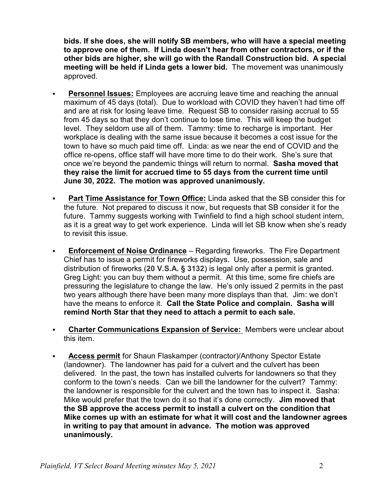**bids. If she does, she will notify SB members, who will have a special meeting to approve one of them. If Linda doesn't hear from other contractors, or if the other bids are higher, she will go with the Randall Construction bid. A special meeting will be held if Linda gets a lower bid.** The movement was unanimously approved.

- **Personnel Issues:** Employees are accruing leave time and reaching the annual maximum of 45 days (total). Due to workload with COVID they haven't had time off and are at risk for losing leave time. Request SB to consider raising accrual to 55 from 45 days so that they don't continue to lose time. This will keep the budget level. They seldom use all of them. Tammy: time to recharge is important. Her workplace is dealing with the same issue because it becomes a cost issue for the town to have so much paid time off. Linda: as we near the end of COVID and the office re-opens, office staff will have more time to do their work. She's sure that once we're beyond the pandemic things will return to normal. **Sasha moved that they raise the limit for accrued time to 55 days from the current time until June 30, 2022. The motion was approved unanimously.**
- § **Part Time Assistance for Town Office:** Linda asked that the SB consider this for the future. Not prepared to discuss it now, but requests that SB consider it for the future. Tammy suggests working with Twinfield to find a high school student intern, as it is a great way to get work experience. Linda will let SB know when she's ready to revisit this issue.
- **Enforcement of Noise Ordinance** Regarding fireworks. The Fire Department Chief has to issue a permit for fireworks displays. Use, possession, sale and distribution of fireworks (**20 V.S.A. § 3132**) is legal only after a permit is granted. Greg Light: you can buy them without a permit. At this time, some fire chiefs are pressuring the legislature to change the law. He's only issued 2 permits in the past two years although there have been many more displays than that. Jim: we don't have the means to enforce it. **Call the State Police and complain. Sasha will remind North Star that they need to attach a permit to each sale.**
- § **Charter Communications Expansion of Service:** Members were unclear about this item.
- § **Access permit** for Shaun Flaskamper (contractor)/Anthony Spector Estate (landowner). The landowner has paid for a culvert and the culvert has been delivered. In the past, the town has installed culverts for landowners so that they conform to the town's needs. Can we bill the landowner for the culvert? Tammy: the landowner is responsible for the culvert and the town has to inspect it. Sasha: Mike would prefer that the town do it so that it's done correctly. **Jim moved that the SB approve the access permit to install a culvert on the condition that Mike comes up with an estimate for what it will cost and the landowner agrees in writing to pay that amount in advance. The motion was approved unanimously.**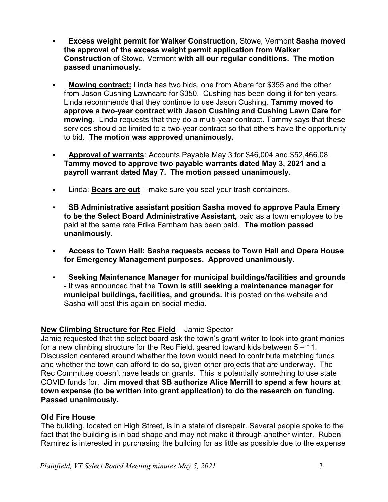- § **Excess weight permit for Walker Construction**, Stowe, Vermont **Sasha moved the approval of the excess weight permit application from Walker Construction** of Stowe, Vermont **with all our regular conditions. The motion passed unanimously.**
- § **Mowing contract:** Linda has two bids, one from Abare for \$355 and the other from Jason Cushing Lawncare for \$350. Cushing has been doing it for ten years. Linda recommends that they continue to use Jason Cushing. **Tammy moved to approve a two-year contract with Jason Cushing and Cushing Lawn Care for mowing**. Linda requests that they do a multi-year contract. Tammy says that these services should be limited to a two-year contract so that others have the opportunity to bid. **The motion was approved unanimously.**
- § **Approval of warrants**: Accounts Payable May 3 for \$46,004 and \$52,466.08. **Tammy moved to approve two payable warrants dated May 3, 2021 and a payroll warrant dated May 7. The motion passed unanimously.**
- § Linda: **Bears are out** make sure you seal your trash containers.
- § **SB Administrative assistant position Sasha moved to approve Paula Emery to be the Select Board Administrative Assistant,** paid as a town employee to be paid at the same rate Erika Farnham has been paid. **The motion passed unanimously.**
- § **Access to Town Hall: Sasha requests access to Town Hall and Opera House for Emergency Management purposes. Approved unanimously.**
- § **Seeking Maintenance Manager for municipal buildings/facilities and grounds** - It was announced that the **Town is still seeking a maintenance manager for municipal buildings, facilities, and grounds.** It is posted on the website and Sasha will post this again on social media.

# **New Climbing Structure for Rec Field** – Jamie Spector

Jamie requested that the select board ask the town's grant writer to look into grant monies for a new climbing structure for the Rec Field, geared toward kids between  $5 - 11$ . Discussion centered around whether the town would need to contribute matching funds and whether the town can afford to do so, given other projects that are underway. The Rec Committee doesn't have leads on grants. This is potentially something to use state COVID funds for. **Jim moved that SB authorize Alice Merrill to spend a few hours at town expense (to be written into grant application) to do the research on funding. Passed unanimously.**

# **Old Fire House**

The building, located on High Street, is in a state of disrepair. Several people spoke to the fact that the building is in bad shape and may not make it through another winter. Ruben Ramirez is interested in purchasing the building for as little as possible due to the expense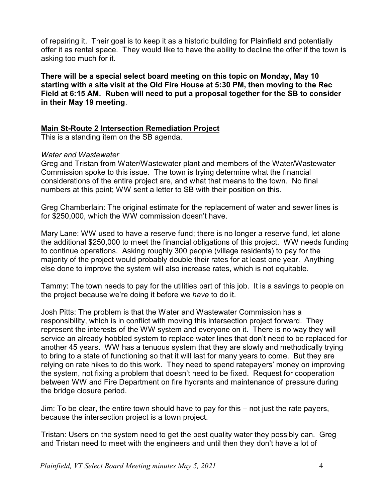of repairing it. Their goal is to keep it as a historic building for Plainfield and potentially offer it as rental space. They would like to have the ability to decline the offer if the town is asking too much for it.

**There will be a special select board meeting on this topic on Monday, May 10 starting with a site visit at the Old Fire House at 5:30 PM, then moving to the Rec Field at 6:15 AM. Ruben will need to put a proposal together for the SB to consider in their May 19 meeting**.

### **Main St-Route 2 Intersection Remediation Project**

This is a standing item on the SB agenda.

#### *Water and Wastewater*

Greg and Tristan from Water/Wastewater plant and members of the Water/Wastewater Commission spoke to this issue. The town is trying determine what the financial considerations of the entire project are, and what that means to the town. No final numbers at this point; WW sent a letter to SB with their position on this.

Greg Chamberlain: The original estimate for the replacement of water and sewer lines is for \$250,000, which the WW commission doesn't have.

Mary Lane: WW used to have a reserve fund; there is no longer a reserve fund, let alone the additional \$250,000 to meet the financial obligations of this project. WW needs funding to continue operations. Asking roughly 300 people (village residents) to pay for the majority of the project would probably double their rates for at least one year. Anything else done to improve the system will also increase rates, which is not equitable.

Tammy: The town needs to pay for the utilities part of this job. It is a savings to people on the project because we're doing it before we *have* to do it.

Josh Pitts: The problem is that the Water and Wastewater Commission has a responsibility, which is in conflict with moving this intersection project forward. They represent the interests of the WW system and everyone on it. There is no way they will service an already hobbled system to replace water lines that don't need to be replaced for another 45 years. WW has a tenuous system that they are slowly and methodically trying to bring to a state of functioning so that it will last for many years to come. But they are relying on rate hikes to do this work. They need to spend ratepayers' money on improving the system, not fixing a problem that doesn't need to be fixed. Request for cooperation between WW and Fire Department on fire hydrants and maintenance of pressure during the bridge closure period.

Jim: To be clear, the entire town should have to pay for this – not just the rate payers, because the intersection project is a town project.

Tristan: Users on the system need to get the best quality water they possibly can. Greg and Tristan need to meet with the engineers and until then they don't have a lot of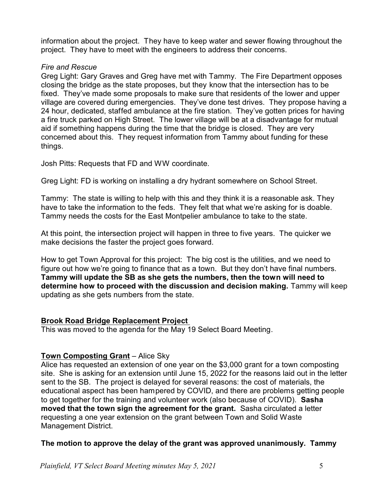information about the project. They have to keep water and sewer flowing throughout the project. They have to meet with the engineers to address their concerns.

### *Fire and Rescue*

Greg Light: Gary Graves and Greg have met with Tammy. The Fire Department opposes closing the bridge as the state proposes, but they know that the intersection has to be fixed. They've made some proposals to make sure that residents of the lower and upper village are covered during emergencies. They've done test drives. They propose having a 24 hour, dedicated, staffed ambulance at the fire station. They've gotten prices for having a fire truck parked on High Street. The lower village will be at a disadvantage for mutual aid if something happens during the time that the bridge is closed. They are very concerned about this. They request information from Tammy about funding for these things.

Josh Pitts: Requests that FD and WW coordinate.

Greg Light: FD is working on installing a dry hydrant somewhere on School Street.

Tammy: The state is willing to help with this and they think it is a reasonable ask. They have to take the information to the feds. They felt that what we're asking for is doable. Tammy needs the costs for the East Montpelier ambulance to take to the state.

At this point, the intersection project will happen in three to five years. The quicker we make decisions the faster the project goes forward.

How to get Town Approval for this project: The big cost is the utilities, and we need to figure out how we're going to finance that as a town. But they don't have final numbers. **Tammy will update the SB as she gets the numbers, then the town will need to determine how to proceed with the discussion and decision making.** Tammy will keep updating as she gets numbers from the state.

# **Brook Road Bridge Replacement Project**

This was moved to the agenda for the May 19 Select Board Meeting.

# **Town Composting Grant** – Alice Sky

Alice has requested an extension of one year on the \$3,000 grant for a town composting site. She is asking for an extension until June 15, 2022 for the reasons laid out in the letter sent to the SB. The project is delayed for several reasons: the cost of materials, the educational aspect has been hampered by COVID, and there are problems getting people to get together for the training and volunteer work (also because of COVID). **Sasha moved that the town sign the agreement for the grant.** Sasha circulated a letter requesting a one year extension on the grant between Town and Solid Waste Management District.

### **The motion to approve the delay of the grant was approved unanimously. Tammy**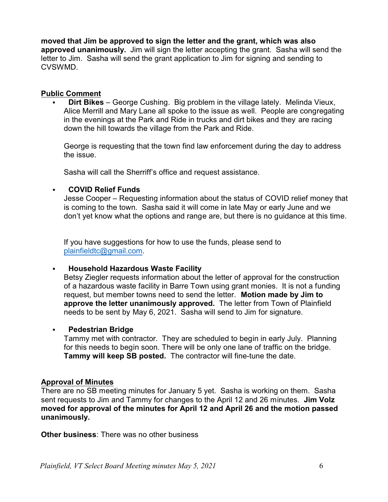**moved that Jim be approved to sign the letter and the grant, which was also approved unanimously.** Jim will sign the letter accepting the grant. Sasha will send the letter to Jim. Sasha will send the grant application to Jim for signing and sending to CVSWMD.

### **Public Comment**

**Dirt Bikes** – George Cushing. Big problem in the village lately. Melinda Vieux, Alice Merrill and Mary Lane all spoke to the issue as well. People are congregating in the evenings at the Park and Ride in trucks and dirt bikes and they are racing down the hill towards the village from the Park and Ride.

George is requesting that the town find law enforcement during the day to address the issue.

Sasha will call the Sherriff's office and request assistance.

### § **COVID Relief Funds**

Jesse Cooper – Requesting information about the status of COVID relief money that is coming to the town. Sasha said it will come in late May or early June and we don't yet know what the options and range are, but there is no guidance at this time.

If you have suggestions for how to use the funds, please send to [plainfieldtc@gmail.com](mailto:plainfieldtc@gmail.com).

### § **Household Hazardous Waste Facility**

Betsy Ziegler requests information about the letter of approval for the construction of a hazardous waste facility in Barre Town using grant monies. It is not a funding request, but member towns need to send the letter. **Motion made by Jim to approve the letter unanimously approved.** The letter from Town of Plainfield needs to be sent by May 6, 2021. Sasha will send to Jim for signature.

### § **Pedestrian Bridge**

Tammy met with contractor. They are scheduled to begin in early July. Planning for this needs to begin soon. There will be only one lane of traffic on the bridge. **Tammy will keep SB posted.** The contractor will fine-tune the date.

### **Approval of Minutes**

There are no SB meeting minutes for January 5 yet. Sasha is working on them. Sasha sent requests to Jim and Tammy for changes to the April 12 and 26 minutes. **Jim Volz moved for approval of the minutes for April 12 and April 26 and the motion passed unanimously.**

**Other business**: There was no other business